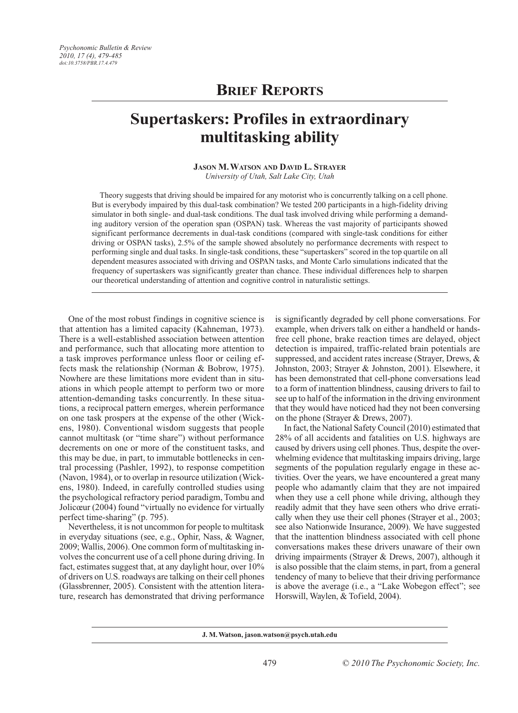*Psychonomic Bulletin & Review 2010, 17 (4), 479-485 doi:10.3758/PBR.17.4.479*

## **Brief Reports**

# **Supertaskers: Profiles in extraordinary multitasking ability**

## **Jason M. Watson and David L. Strayer** *University of Utah, Salt Lake City, Utah*

Theory suggests that driving should be impaired for any motorist who is concurrently talking on a cell phone. But is everybody impaired by this dual-task combination? We tested 200 participants in a high-fidelity driving simulator in both single- and dual-task conditions. The dual task involved driving while performing a demanding auditory version of the operation span (OSPAN) task. Whereas the vast majority of participants showed significant performance decrements in dual-task conditions (compared with single-task conditions for either driving or OSPAN tasks), 2.5% of the sample showed absolutely no performance decrements with respect to performing single and dual tasks. In single-task conditions, these "supertaskers" scored in the top quartile on all dependent measures associated with driving and OSPAN tasks, and Monte Carlo simulations indicated that the frequency of supertaskers was significantly greater than chance. These individual differences help to sharpen our theoretical understanding of attention and cognitive control in naturalistic settings.

One of the most robust findings in cognitive science is that attention has a limited capacity (Kahneman, 1973). There is a well-established association between attention and performance, such that allocating more attention to a task improves performance unless floor or ceiling effects mask the relationship (Norman & Bobrow, 1975). Nowhere are these limitations more evident than in situations in which people attempt to perform two or more attention-demanding tasks concurrently. In these situations, a reciprocal pattern emerges, wherein performance on one task prospers at the expense of the other (Wickens, 1980). Conventional wisdom suggests that people cannot multitask (or "time share") without performance decrements on one or more of the constituent tasks, and this may be due, in part, to immutable bottlenecks in central processing (Pashler, 1992), to response competition (Navon, 1984), or to overlap in resource utilization (Wickens, 1980). Indeed, in carefully controlled studies using the psychological refractory period paradigm, Tombu and Jolicœur (2004) found "virtually no evidence for virtually perfect time-sharing" (p. 795).

Nevertheless, it is not uncommon for people to multitask in everyday situations (see, e.g., Ophir, Nass, & Wagner, 2009; Wallis, 2006). One common form of multitasking involves the concurrent use of a cell phone during driving. In fact, estimates suggest that, at any daylight hour, over 10% of drivers on U.S. roadways are talking on their cell phones (Glassbrenner, 2005). Consistent with the attention literature, research has demonstrated that driving performance

is significantly degraded by cell phone conversations. For example, when drivers talk on either a handheld or handsfree cell phone, brake reaction times are delayed, object detection is impaired, traffic-related brain potentials are suppressed, and accident rates increase (Strayer, Drews, & Johnston, 2003; Strayer & Johnston, 2001). Elsewhere, it has been demonstrated that cell-phone conversations lead to a form of inattention blindness, causing drivers to fail to see up to half of the information in the driving environment that they would have noticed had they not been conversing on the phone (Strayer & Drews, 2007).

In fact, the National Safety Council (2010) estimated that 28% of all accidents and fatalities on U.S. highways are caused by drivers using cell phones. Thus, despite the overwhelming evidence that multitasking impairs driving, large segments of the population regularly engage in these activities. Over the years, we have encountered a great many people who adamantly claim that they are not impaired when they use a cell phone while driving, although they readily admit that they have seen others who drive erratically when they use their cell phones (Strayer et al., 2003; see also Nationwide Insurance, 2009). We have suggested that the inattention blindness associated with cell phone conversations makes these drivers unaware of their own driving impairments (Strayer & Drews, 2007), although it is also possible that the claim stems, in part, from a general tendency of many to believe that their driving performance is above the average (i.e., a "Lake Wobegon effect"; see Horswill, Waylen, & Tofield, 2004).

**J. M. Watson, jason.watson@psych.utah.edu**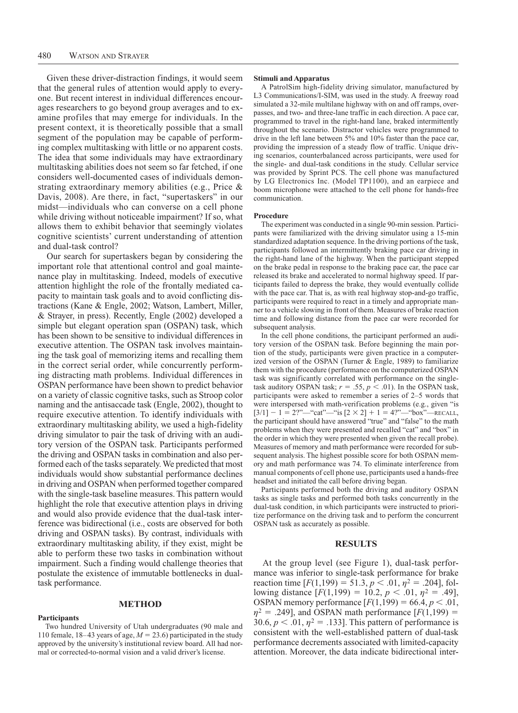Given these driver-distraction findings, it would seem that the general rules of attention would apply to everyone. But recent interest in individual differences encourages researchers to go beyond group averages and to examine profiles that may emerge for individuals. In the present context, it is theoretically possible that a small segment of the population may be capable of performing complex multitasking with little or no apparent costs. The idea that some individuals may have extraordinary multitasking abilities does not seem so far fetched, if one considers well-documented cases of individuals demonstrating extraordinary memory abilities (e.g., Price & Davis, 2008). Are there, in fact, "supertaskers" in our midst—individuals who can converse on a cell phone while driving without noticeable impairment? If so, what allows them to exhibit behavior that seemingly violates cognitive scientists' current understanding of attention and dual-task control?

Our search for supertaskers began by considering the important role that attentional control and goal maintenance play in multitasking. Indeed, models of executive attention highlight the role of the frontally mediated capacity to maintain task goals and to avoid conflicting distractions (Kane & Engle, 2002; Watson, Lambert, Miller, & Strayer, in press). Recently, Engle (2002) developed a simple but elegant operation span (OSPAN) task, which has been shown to be sensitive to individual differences in executive attention. The OSPAN task involves maintaining the task goal of memorizing items and recalling them in the correct serial order, while concurrently performing distracting math problems. Individual differences in OSPAN performance have been shown to predict behavior on a variety of classic cognitive tasks, such as Stroop color naming and the antisaccade task (Engle, 2002), thought to require executive attention. To identify individuals with extraordinary multitasking ability, we used a high-fidelity driving simulator to pair the task of driving with an auditory version of the OSPAN task. Participants performed the driving and OSPAN tasks in combination and also performed each of the tasks separately. We predicted that most individuals would show substantial performance declines in driving and OSPAN when performed together compared with the single-task baseline measures. This pattern would highlight the role that executive attention plays in driving and would also provide evidence that the dual-task interference was bidirectional (i.e., costs are observed for both driving and OSPAN tasks). By contrast, individuals with extraordinary multitasking ability, if they exist, might be able to perform these two tasks in combination without impairment. Such a finding would challenge theories that postulate the existence of immutable bottlenecks in dualtask performance.

## **Method**

## **Participants**

Two hundred University of Utah undergraduates (90 male and 110 female, 18–43 years of age,  $M = 23.6$ ) participated in the study approved by the university's institutional review board. All had normal or corrected-to-normal vision and a valid driver's license.

## **Stimuli and Apparatus**

A PatrolSim high-fidelity driving simulator, manufactured by L3 Communications/I-SIM, was used in the study. A freeway road simulated a 32-mile multilane highway with on and off ramps, overpasses, and two- and three-lane traffic in each direction. A pace car, programmed to travel in the right-hand lane, braked intermittently throughout the scenario. Distractor vehicles were programmed to drive in the left lane between 5% and 10% faster than the pace car, providing the impression of a steady flow of traffic. Unique driving scenarios, counterbalanced across participants, were used for the single- and dual-task conditions in the study. Cellular service was provided by Sprint PCS. The cell phone was manufactured by LG Electronics Inc. (Model TP1100), and an earpiece and boom microphone were attached to the cell phone for hands-free communication.

#### **Procedure**

The experiment was conducted in a single 90-min session. Participants were familiarized with the driving simulator using a 15-min standardized adaptation sequence. In the driving portions of the task, participants followed an intermittently braking pace car driving in the right-hand lane of the highway. When the participant stepped on the brake pedal in response to the braking pace car, the pace car released its brake and accelerated to normal highway speed. If participants failed to depress the brake, they would eventually collide with the pace car. That is, as with real highway stop-and-go traffic, participants were required to react in a timely and appropriate manner to a vehicle slowing in front of them. Measures of brake reaction time and following distance from the pace car were recorded for subsequent analysis.

In the cell phone conditions, the participant performed an auditory version of the OSPAN task. Before beginning the main portion of the study, participants were given practice in a computerized version of the OSPAN (Turner & Engle, 1989) to familiarize them with the procedure (performance on the computerized OSPAN task was significantly correlated with performance on the singletask auditory OSPAN task;  $r = .55$ ,  $p < .01$ ). In the OSPAN task, participants were asked to remember a series of 2–5 words that were interspersed with math-verification problems (e.g., given "is  $[3/1] - 1 = 2$ ?"—"cat"—"is  $[2 \times 2] + 1 = 4$ ?"—"box"—RECALL, the participant should have answered "true" and "false" to the math problems when they were presented and recalled "cat" and "box" in the order in which they were presented when given the recall probe). Measures of memory and math performance were recorded for subsequent analysis. The highest possible score for both OSPAN memory and math performance was 74. To eliminate interference from manual components of cell phone use, participants used a hands-free headset and initiated the call before driving began.

Participants performed both the driving and auditory OSPAN tasks as single tasks and performed both tasks concurrently in the dual-task condition, in which participants were instructed to prioritize performance on the driving task and to perform the concurrent OSPAN task as accurately as possible.

## **Results**

At the group level (see Figure 1), dual-task performance was inferior to single-task performance for brake reaction time  $[F(1,199) = 51.3, p < .01, \eta^2 = .204]$ , following distance  $[F(1,199) = 10.2, p < .01, \eta^2 = .49]$ , OSPAN memory performance  $[F(1,199) = 66.4, p < .01,$  $\eta^2$  = .249], and OSPAN math performance [*F*(1,199) = 30.6,  $p < .01$ ,  $\eta^2 = .133$ ]. This pattern of performance is consistent with the well-established pattern of dual-task performance decrements associated with limited-capacity attention. Moreover, the data indicate bidirectional inter-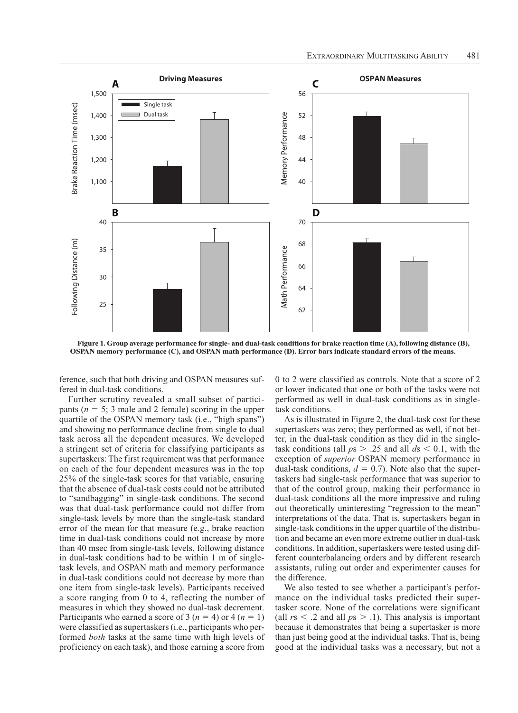

**Figure 1. Group average performance for single- and dual-task conditions for brake reaction time (A), following distance (B), OSPAN memory performance (C), and OSPAN math performance (D). Error bars indicate standard errors of the means.**

ference, such that both driving and OSPAN measures suffered in dual-task conditions.

Further scrutiny revealed a small subset of participants ( $n = 5$ ; 3 male and 2 female) scoring in the upper quartile of the OSPAN memory task (i.e., "high spans") and showing no performance decline from single to dual task across all the dependent measures. We developed a stringent set of criteria for classifying participants as supertaskers: The first requirement was that performance on each of the four dependent measures was in the top 25% of the single-task scores for that variable, ensuring that the absence of dual-task costs could not be attributed to "sandbagging" in single-task conditions. The second was that dual-task performance could not differ from single-task levels by more than the single-task standard error of the mean for that measure (e.g., brake reaction time in dual-task conditions could not increase by more than 40 msec from single-task levels, following distance in dual-task conditions had to be within 1 m of singletask levels, and OSPAN math and memory performance in dual-task conditions could not decrease by more than one item from single-task levels). Participants received a score ranging from 0 to 4, reflecting the number of measures in which they showed no dual-task decrement. Participants who earned a score of 3 ( $n = 4$ ) or 4 ( $n = 1$ ) were classified as supertaskers (i.e., participants who performed *both* tasks at the same time with high levels of proficiency on each task), and those earning a score from

0 to 2 were classified as controls. Note that a score of 2 or lower indicated that one or both of the tasks were not performed as well in dual-task conditions as in singletask conditions.

As is illustrated in Figure 2, the dual-task cost for these supertaskers was zero; they performed as well, if not better, in the dual-task condition as they did in the singletask conditions (all  $ps > .25$  and all  $ds < 0.1$ , with the exception of *superior* OSPAN memory performance in dual-task conditions,  $d = 0.7$ ). Note also that the supertaskers had single-task performance that was superior to that of the control group, making their performance in dual-task conditions all the more impressive and ruling out theoretically uninteresting "regression to the mean" interpretations of the data. That is, supertaskers began in single-task conditions in the upper quartile of the distribution and became an even more extreme outlier in dual-task conditions. In addition, supertaskers were tested using different counterbalancing orders and by different research assistants, ruling out order and experimenter causes for the difference.

We also tested to see whether a participant's performance on the individual tasks predicted their supertasker score. None of the correlations were significant (all  $rs < .2$  and all  $ps > .1$ ). This analysis is important because it demonstrates that being a supertasker is more than just being good at the individual tasks. That is, being good at the individual tasks was a necessary, but not a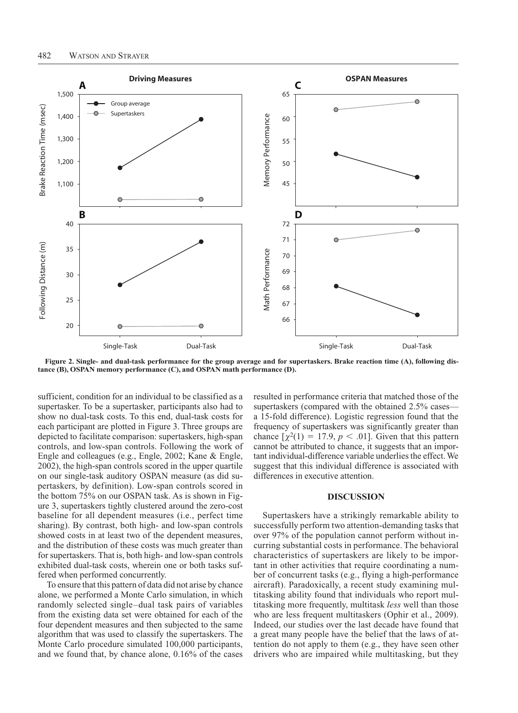

**Figure 2. Single- and dual-task performance for the group average and for supertaskers. Brake reaction time (A), following distance (B), OSPAN memory performance (C), and OSPAN math performance (D).**

sufficient, condition for an individual to be classified as a supertasker. To be a supertasker, participants also had to show no dual-task costs. To this end, dual-task costs for each participant are plotted in Figure 3. Three groups are depicted to facilitate comparison: supertaskers, high-span controls, and low-span controls. Following the work of Engle and colleagues (e.g., Engle, 2002; Kane & Engle, 2002), the high-span controls scored in the upper quartile on our single-task auditory OSPAN measure (as did supertaskers, by definition). Low-span controls scored in the bottom 75% on our OSPAN task. As is shown in Figure 3, supertaskers tightly clustered around the zero-cost baseline for all dependent measures (i.e., perfect time sharing). By contrast, both high- and low-span controls showed costs in at least two of the dependent measures, and the distribution of these costs was much greater than for supertaskers. That is, both high- and low-span controls exhibited dual-task costs, wherein one or both tasks suffered when performed concurrently.

To ensure that this pattern of data did not arise by chance alone, we performed a Monte Carlo simulation, in which randomly selected single–dual task pairs of variables from the existing data set were obtained for each of the four dependent measures and then subjected to the same algorithm that was used to classify the supertaskers. The Monte Carlo procedure simulated 100,000 participants, and we found that, by chance alone, 0.16% of the cases

resulted in performance criteria that matched those of the supertaskers (compared with the obtained 2.5% cases a 15-fold difference). Logistic regression found that the frequency of supertaskers was significantly greater than chance  $\lceil \chi^2(1) \rceil = 17.9$ ,  $p \leq .01$ . Given that this pattern cannot be attributed to chance, it suggests that an important individual-difference variable underlies the effect. We suggest that this individual difference is associated with differences in executive attention.

## **Discussion**

Supertaskers have a strikingly remarkable ability to successfully perform two attention-demanding tasks that over 97% of the population cannot perform without incurring substantial costs in performance. The behavioral characteristics of supertaskers are likely to be important in other activities that require coordinating a number of concurrent tasks (e.g., flying a high-performance aircraft). Paradoxically, a recent study examining multitasking ability found that individuals who report multitasking more frequently, multitask *less* well than those who are less frequent multitaskers (Ophir et al., 2009). Indeed, our studies over the last decade have found that a great many people have the belief that the laws of attention do not apply to them (e.g., they have seen other drivers who are impaired while multitasking, but they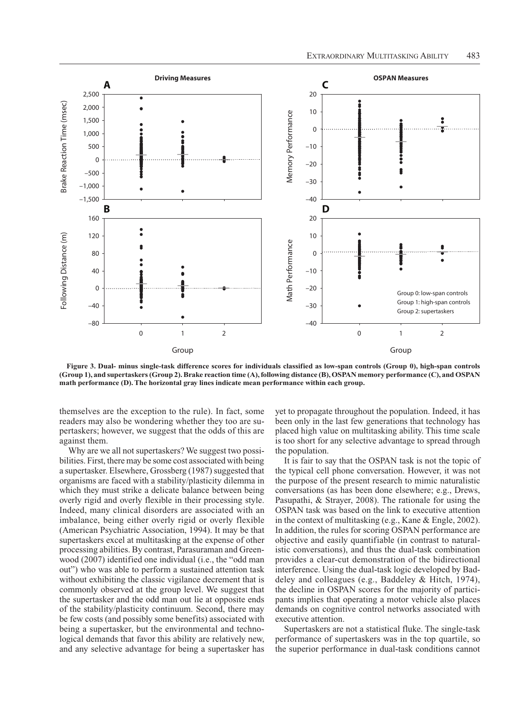

**Figure 3. Dual- minus single-task difference scores for individuals classified as low-span controls (Group 0), high-span controls (Group 1), and supertaskers (Group 2). Brake reaction time (A), following distance (B), OSPAN memory performance (C), and OSPAN math performance (D). The horizontal gray lines indicate mean performance within each group.**

themselves are the exception to the rule). In fact, some readers may also be wondering whether they too are supertaskers; however, we suggest that the odds of this are against them.

Why are we all not supertaskers? We suggest two possibilities. First, there may be some cost associated with being a supertasker. Elsewhere, Grossberg (1987) suggested that organisms are faced with a stability/plasticity dilemma in which they must strike a delicate balance between being overly rigid and overly flexible in their processing style. Indeed, many clinical disorders are associated with an imbalance, being either overly rigid or overly flexible (American Psychiatric Association, 1994). It may be that supertaskers excel at multitasking at the expense of other processing abilities. By contrast, Parasuraman and Greenwood (2007) identified one individual (i.e., the "odd man out") who was able to perform a sustained attention task without exhibiting the classic vigilance decrement that is commonly observed at the group level. We suggest that the supertasker and the odd man out lie at opposite ends of the stability/plasticity continuum. Second, there may be few costs (and possibly some benefits) associated with being a supertasker, but the environmental and technological demands that favor this ability are relatively new, and any selective advantage for being a supertasker has yet to propagate throughout the population. Indeed, it has been only in the last few generations that technology has placed high value on multitasking ability. This time scale is too short for any selective advantage to spread through the population.

It is fair to say that the OSPAN task is not the topic of the typical cell phone conversation. However, it was not the purpose of the present research to mimic naturalistic conversations (as has been done elsewhere; e.g., Drews, Pasupathi, & Strayer, 2008). The rationale for using the OSPAN task was based on the link to executive attention in the context of multitasking (e.g., Kane & Engle, 2002). In addition, the rules for scoring OSPAN performance are objective and easily quantifiable (in contrast to naturalistic conversations), and thus the dual-task combination provides a clear-cut demonstration of the bidirectional interference. Using the dual-task logic developed by Baddeley and colleagues (e.g., Baddeley & Hitch, 1974), the decline in OSPAN scores for the majority of participants implies that operating a motor vehicle also places demands on cognitive control networks associated with executive attention.

Supertaskers are not a statistical fluke. The single-task performance of supertaskers was in the top quartile, so the superior performance in dual-task conditions cannot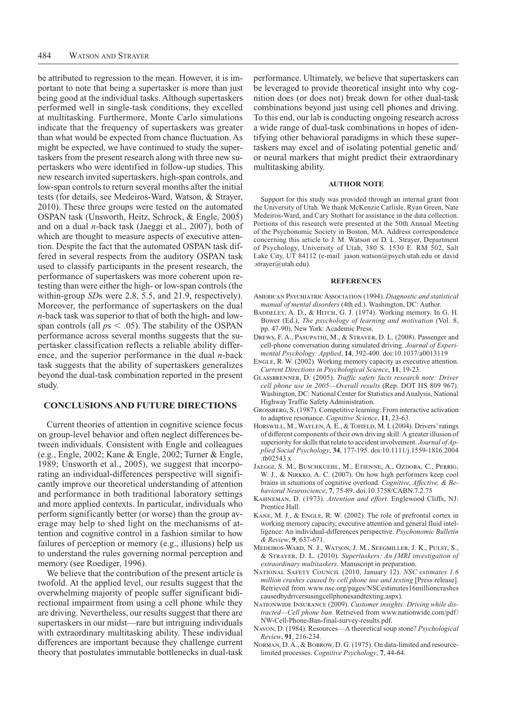be attributed to regression to the mean. However, it is important to note that being a supertasker is more than just being good at the individual tasks. Although supertaskers performed well in single-task conditions, they excelled at multitasking. Furthermore, Monte Carlo simulations indicate that the frequency of supertaskers was greater than what would be expected from chance fluctuation. As might be expected, we have continued to study the supertaskers from the present research along with three new supertaskers who were identified in follow-up studies. This new research invited supertaskers, high-span controls, and low-span controls to return several months after the initial tests (for details, see Medeiros-Ward, Watson, & Strayer, 2010). These three groups were tested on the automated OSPAN task (Unsworth, Heitz, Schrock, & Engle, 2005) and on a dual *n*-back task (Jaeggi et al., 2007), both of which are thought to measure aspects of executive attention. Despite the fact that the automated OSPAN task differed in several respects from the auditory OSPAN task used to classify participants in the present research, the performance of supertaskers was more coherent upon retesting than were either the high- or low-span controls (the within-group *SD*s were 2.8, 5.5, and 21.9, respectively). Moreover, the performance of supertaskers on the dual *n*-back task was superior to that of both the high- and lowspan controls (all  $ps < .05$ ). The stability of the OSPAN performance across several months suggests that the supertasker classification reflects a reliable ability difference, and the superior performance in the dual *n*-back task suggests that the ability of supertaskers generalizes beyond the dual-task combination reported in the present study.

## **CONCLUSIONS AND FUTURE DIRECTIONS**

Current theories of attention in cognitive science focus on group-level behavior and often neglect differences between individuals. Consistent with Engle and colleagues (e.g., Engle, 2002; Kane & Engle, 2002; Turner & Engle, 1989; Unsworth et al., 2005), we suggest that incorporating an individual-differences perspective will significantly improve our theoretical understanding of attention and performance in both traditional laboratory settings and more applied contexts. In particular, individuals who perform significantly better (or worse) than the group average may help to shed light on the mechanisms of attention and cognitive control in a fashion similar to how failures of perception or memory (e.g., illusions) help us to understand the rules governing normal perception and memory (see Roediger, 1996).

We believe that the contribution of the present article is twofold. At the applied level, our results suggest that the overwhelming majority of people suffer significant bidirectional impairment from using a cell phone while they are driving. Nevertheless, our results suggest that there are supertaskers in our midst—rare but intriguing individuals with extraordinary multitasking ability. These individual differences are important because they challenge current theory that postulates immutable bottlenecks in dual-task performance. Ultimately, we believe that supertaskers can be leveraged to provide theoretical insight into why cognition does (or does not) break down for other dual-task combinations beyond just using cell phones and driving. To this end, our lab is conducting ongoing research across a wide range of dual-task combinations in hopes of identifying other behavioral paradigms in which these supertaskers may excel and of isolating potential genetic and/ or neural markers that might predict their extraordinary multitasking ability.

#### **AUTHOR NOTE**

Support for this study was provided through an internal grant from the University of Utah. We thank McKenzie Carlisle, Ryan Green, Nate Medeiros-Ward, and Cary Stothart for assistance in the data collection. Portions of this research were presented at the 50th Annual Meeting of the Psychonomic Society in Boston, MA. Address correspondence concerning this article to J. M. Watson or D. L. Strayer, Department of Psychology, University of Utah, 380 S. 1530 E. RM 502, Salt Lake City, UT 84112 (e-mail: jason.watson@psych.utah.edu or david .strayer@utah.edu).

#### **REFERENCES**

- American Psychiatric Association (1994). *Diagnostic and statistical manual of mental disorders* (4th ed.). Washington, DC: Author.
- BADDELEY, A. D., & HITCH, G. J. (1974). Working memory. In G. H. Bower (Ed.), *The psychology of learning and motivation* (Vol. 8, pp. 47-90). New York: Academic Press.
- Drews, F. A., Pasupathi, M., & Strayer, D. L. (2008). Passenger and cell-phone conversation during simulated driving. *Journal of Experimental Psychology: Applied*, **14**, 392-400. doi:10.1037/a0013119
- Engle, R. W. (2002). Working memory capacity as executive attention. *Current Directions in Psychological Science*, **11**, 19-23.
- Glassbrenner, D. (2005). *Traffic safety facts research note: Driver cell phone use in 2005—Overall results* (Rep. DOT HS 809 967). Washington, DC: National Center for Statistics and Analysis, National Highway Traffic Safety Administration.
- Grossberg, S. (1987). Competitive learning: From interactive activation to adaptive resonance. *Cognitive Science*, **11**, 23-63.
- Horswill, M., Waylen, A. E., & Tofield, M. I. (2004). Drivers' ratings of different components of their own driving skill: A greater illusion of superiority for skills that relate to accident involvement. *Journal of Applied Social Psychology*, **34**, 177-195. doi:10.1111/j.1559-1816.2004 .tb02543.x
- Jaeggi, S. M., Buschkuehl, M., Etienne, A., Ozdoba, C., Perrig, W. J., & Nirkko, A. C. (2007). On how high performers keep cool brains in situations of cognitive overload. *Cognitive, Affective, & Behavioral Neuroscience*, **7**, 75-89. doi:10.3758/CABN.7.2.75
- Kahneman, D. (1973). *Attention and effort*. Englewood Cliffs, NJ: Prentice Hall.
- KANE, M. J., & ENGLE, R. W. (2002). The role of prefrontal cortex in working memory capacity, executive attention and general fluid intelligence: An individual-differences perspective. *Psychonomic Bulletin & Review*, **9**, 637-671.
- Medeiros-Ward, N. J., Watson, J. M., Seegmiller, J. K., Pulst, S., & Strayer, D. L. (2010). *Supertaskers: An fMRI investigation of extraordinary multitaskers*. Manuscript in preparation.
- National Safety Council (2010, January 12). *NSC estimates 1.6 million crashes caused by cell phone use and texting* [Press release]. Retrieved from www.nsc.org/pages/NSCestimates16millioncrashes causedbydriversusingcellphonesandtexting.aspx).
- Nationwide Insurance (2009). *Customer insights: Driving while distracted—Cell phone ban*. Retrieved from www.nationwide.com/pdf/ NW-Cell-Phone-Ban-final-survey-results.pdf.
- Navon, D. (1984). Resources—A theoretical soup stone? *Psychological Review*, **91**, 216-234.
- Norman, D. A., & Bobrow, D. G. (1975). On data-limited and resourcelimited processes. *Cognitive Psychology*, **7**, 44-64.